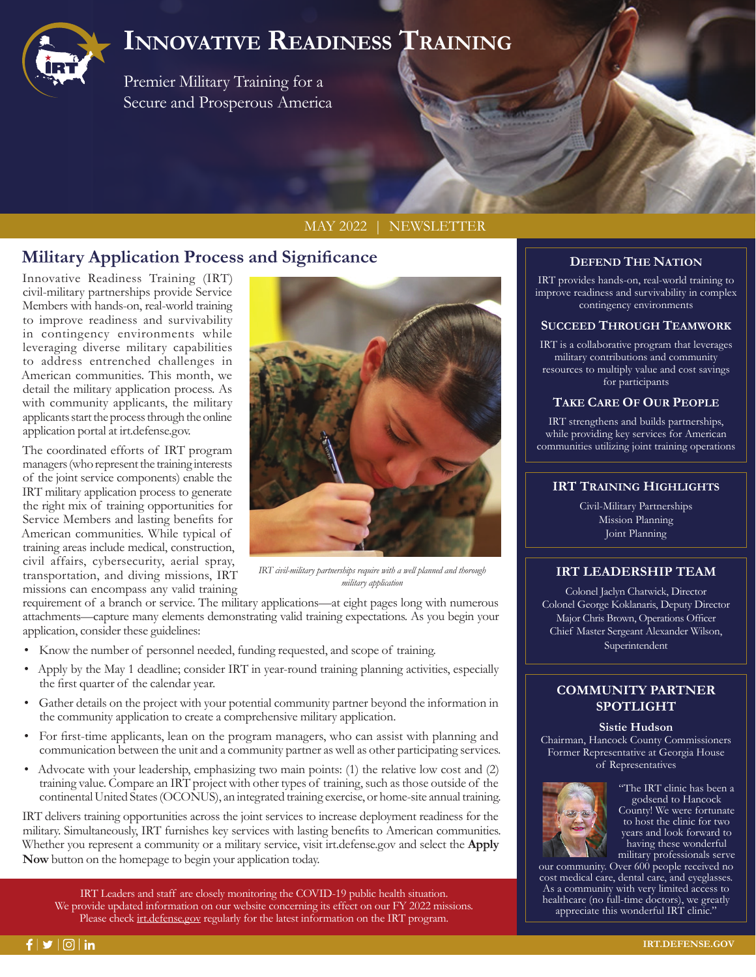

# **Innovative Readiness Training**

Premier Military Training for a Secure and Prosperous America

### MAY 2022 | NEWSLETTER

# **Military Application Process and Significance**

Innovative Readiness Training (IRT) civil-military partnerships provide Service Members with hands-on, real-world training to improve readiness and survivability in contingency environments while leveraging diverse military capabilities to address entrenched challenges in American communities. This month, we detail the military application process. As with community applicants, the military applicants start the process through the online application portal at irt.defense.gov.

The coordinated efforts of IRT program managers (who represent the training interests of the joint service components) enable the IRT military application process to generate the right mix of training opportunities for Service Members and lasting benefits for American communities. While typical of training areas include medical, construction, civil affairs, cybersecurity, aerial spray, transportation, and diving missions, IRT missions can encompass any valid training



*IRT civil-military partnerships require with a well planned and thorough military application*

requirement of a branch or service. The military applications—at eight pages long with numerous attachments—capture many elements demonstrating valid training expectations. As you begin your application, consider these guidelines:

- Know the number of personnel needed, funding requested, and scope of training.
- Apply by the May 1 deadline; consider IRT in year-round training planning activities, especially the first quarter of the calendar year.
- Gather details on the project with your potential community partner beyond the information in the community application to create a comprehensive military application.
- For first-time applicants, lean on the program managers, who can assist with planning and communication between the unit and a community partner as well as other participating services.
- Advocate with your leadership, emphasizing two main points: (1) the relative low cost and (2) training value. Compare an IRT project with other types of training, such as those outside of the continental United States (OCONUS), an integrated training exercise, or home-site annual training.

IRT delivers training opportunities across the joint services to increase deployment readiness for the military. Simultaneously, IRT furnishes key services with lasting benefits to American communities. Whether you represent a community or a military service, visit irt.defense.gov and select the **Apply Now** button on the homepage to begin your application today.

IRT Leaders and staff are closely monitoring the COVID-19 public health situation. We provide updated information on our website concerning its effect on our FY 2022 missions. Please check irt.defense.gov regularly for the latest information on the IRT program.

# **DEFEND THE NATION**

IRT provides hands-on, real-world training to improve readiness and survivability in complex contingency environments

#### **SUCCEED THROUGH TEAMWORK**

IRT is a collaborative program that leverages military contributions and community resources to multiply value and cost savings for participants

#### **TAKE CARE OF OUR PEOPLE**

IRT strengthens and builds partnerships, while providing key services for American communities utilizing joint training operations

### **IRT TRAINING HIGHLIGHTS**

Civil-Military Partnerships Mission Planning Joint Planning

# **IRT LEADERSHIP TEAM**

Colonel Jaclyn Chatwick, Director Colonel George Koklanaris, Deputy Director Major Chris Brown, Operations Officer Chief Master Sergeant Alexander Wilson, Superintendent

# **COMMUNITY PARTNER SPOTLIGHT**

**Sistie Hudson**  Chairman, Hancock County Commissioners Former Representative at Georgia House of Representatives



"The IRT clinic has been a godsend to Hancock County! We were fortunate to host the clinic for two years and look forward to having these wonderful military professionals serve

our community. Over 600 people received no cost medical care, dental care, and eyeglasses. As a community with very limited access to healthcare (no full-time doctors), we greatly appreciate this wonderful IRT clinic."

 $f|y|$   $\circ$   $|n|$